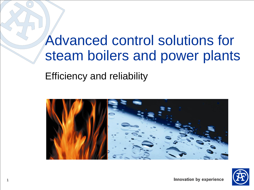# Advanced control solutions for steam boilers and power plants

Efficiency and reliability



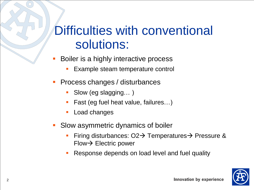## Difficulties with conventional solutions:

- Boiler is a highly interactive process
	- Example steam temperature control
- **Process changes / disturbances** 
	- Slow (eg slagging...)
	- Fast (eg fuel heat value, failures...)
	- Load changes
- **Slow asymmetric dynamics of boiler** 
	- Firing disturbances:  $O2\rightarrow$  Temperatures  $\rightarrow$  Pressure &  $Flow \rightarrow$  Electric power
	- Response depends on load level and fuel quality

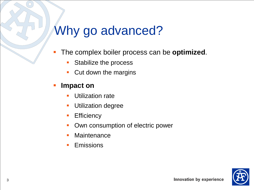## Why go advanced?

- The complex boiler process can be **optimized**.
	- **Stabilize the process**
	- **Cut down the margins**

#### **Impact on**

- Utilization rate
- **Utilization degree**
- **Efficiency**
- Own consumption of electric power
- **Maintenance**
- **Emissions**

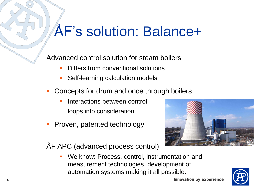# ÅF's solution: Balance+

Advanced control solution for steam boilers

- Differs from conventional solutions
- Self-learning calculation models
- Concepts for drum and once through boilers
	- Interactions between control loops into consideration
- Proven, patented technology



ÅF APC (advanced process control)

 We know: Process, control, instrumentation and measurement technologies, development of automation systems making it all possible.

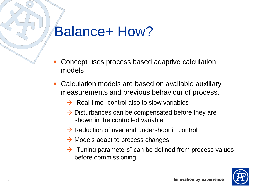# Balance+ How?

- Concept uses process based adaptive calculation models
- Calculation models are based on available auxiliary measurements and previous behaviour of process.
	- $\rightarrow$  "Real-time" control also to slow variables
	- $\rightarrow$  Disturbances can be compensated before they are shown in the controlled variable
	- $\rightarrow$  Reduction of over and undershoot in control
	- $\rightarrow$  Models adapt to process changes
	- $\rightarrow$  "Tuning parameters" can be defined from process values before commissioning

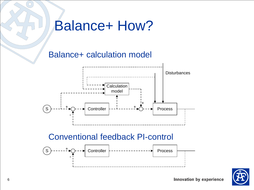# Balance+ How?

### Balance+ calculation model



#### Conventional feedback PI-control



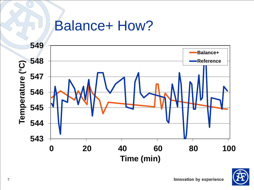## Balance+ How?



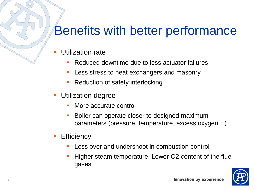## Benefits with better performance

- Utilization rate
	- Reduced downtime due to less actuator failures
	- **Less stress to heat exchangers and masonry**
	- Reduction of safety interlocking
- **Utilization degree** 
	- **Nore accurate control**
	- Boiler can operate closer to designed maximum parameters (pressure, temperature, excess oxygen…)
- **Efficiency** 
	- Less over and undershoot in combustion control
	- Higher steam temperature, Lower O2 content of the flue gases

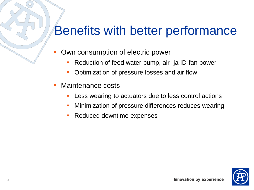## Benefits with better performance

- Own consumption of electric power
	- Reduction of feed water pump, air- ja ID-fan power
	- Optimization of pressure losses and air flow
- Maintenance costs
	- Less wearing to actuators due to less control actions
	- Minimization of pressure differences reduces wearing
	- Reduced downtime expenses

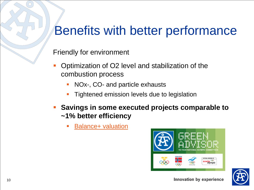## Benefits with better performance

Friendly for environment

- Optimization of O2 level and stabilization of the combustion process
	- NOx-, CO- and particle exhausts
	- Tightened emission levels due to legislation
- **Savings in some executed projects comparable to ~1% better efficiency**
	- [Balance+ valuation](Balance+_Valuation_revB.xlsx)



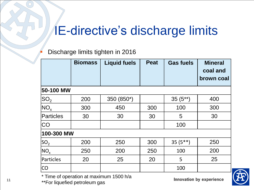## IE-directive's discharge limits

#### Discharge limits tighten in 2016

|                | <b>Biomass</b> | <b>Liquid fuels</b> | <b>Peat</b> | <b>Gas fuels</b> | <b>Mineral</b><br>coal and<br>brown coal |
|----------------|----------------|---------------------|-------------|------------------|------------------------------------------|
| 50-100 MW      |                |                     |             |                  |                                          |
| $ {\rm SO}_2 $ | 200            | 350 (850*)          |             | $35(5^{**})$     | 400                                      |
| $NO_{x}$       | 300            | 450                 | 300         | 100              | 300                                      |
| Particles      | 30             | 30                  | 30          | 5                | 30                                       |
| CO             |                |                     |             | 100              |                                          |
| 100-300 MW     |                |                     |             |                  |                                          |
| $ SO_2 $       | 200            | 250                 | 300         | $35(5**)$        | 250                                      |
| $NO_{\rm x}$   | 250            | 200                 | 250         | 100              | 200                                      |
| Particles      | 20             | 25                  | 20          | 5                | 25                                       |
| CO             |                |                     |             | 100              |                                          |

\* Time of operation at maximum 1500 h/a \*\*For liquefied petroleum gas

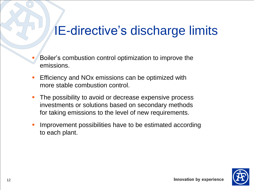## IE-directive's discharge limits

- Boiler's combustion control optimization to improve the emissions.
- **Efficiency and NOx emissions can be optimized with** more stable combustion control.
- The possibility to avoid or decrease expensive process investments or solutions based on secondary methods for taking emissions to the level of new requirements.
- Improvement possibilities have to be estimated according to each plant.

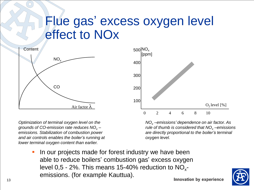### Flue gas' excess oxygen level effect to NOx



*Optimization of terminal oxygen level on the grounds of CO-emission rate reduces NO<sup>x</sup> – emissions. Stabilization of combustion power and air controls enables the boiler's running at lower terminal oxygen content than earlier.*

500 $|$ NO $_{\sf x}$ [ppm]  $O<sub>2</sub>$  level  $[%]$ 0 2 4 6 8 10 400 300 200 100

*NO<sup>x</sup> –emissions' dependence on air factor. As rule of thumb is considered that NO<sup>x</sup> –emissions are directly proportional to the boiler's terminal oxygen level.*

 In our projects made for forest industry we have been able to reduce boilers' combustion gas' excess oxygen level 0,5 - 2%. This means 15-40% reduction to  $NO_{x}$ emissions. (for example Kauttua).